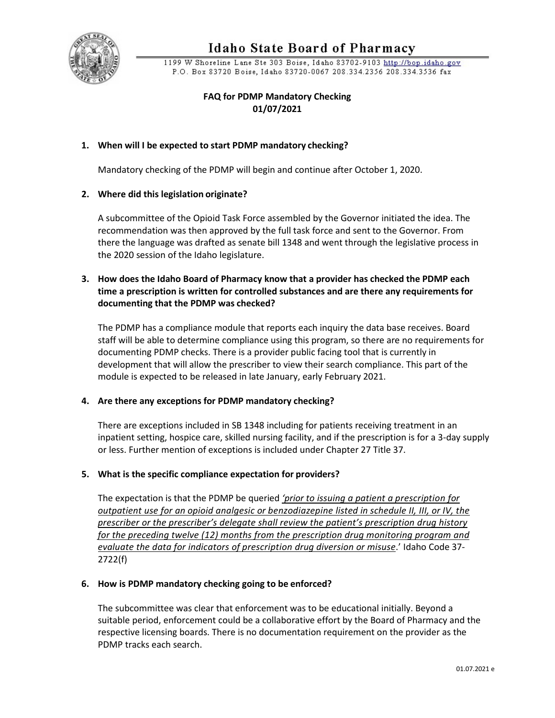

# **Idaho State Board of Pharmacy**

1199 W Shoreline Lane Ste 303 Boise, Idaho 83702-9103 http://bop.idaho.gov P.O. Box 83720 Boise, Idaho 83720-0067 208.334.2356 208.334.3536 fax

# **FAQ for PDMP Mandatory Checking 01/07/2021**

## **1. When will I be expected to start PDMP mandatory checking?**

Mandatory checking of the PDMP will begin and continue after October 1, 2020.

#### **2. Where did this legislation originate?**

A subcommittee of the Opioid Task Force assembled by the Governor initiated the idea. The recommendation was then approved by the full task force and sent to the Governor. From there the language was drafted as senate bill 1348 and went through the legislative process in the 2020 session of the Idaho legislature.

## **3. How does the Idaho Board of Pharmacy know that a provider has checked the PDMP each time a prescription is written for controlled substances and are there any requirements for documenting that the PDMP was checked?**

The PDMP has a compliance module that reports each inquiry the data base receives. Board staff will be able to determine compliance using this program, so there are no requirements for documenting PDMP checks. There is a provider public facing tool that is currently in development that will allow the prescriber to view their search compliance. This part of the module is expected to be released in late January, early February 2021.

## **4. Are there any exceptions for PDMP mandatory checking?**

There are exceptions included in SB 1348 including for patients receiving treatment in an inpatient setting, hospice care, skilled nursing facility, and if the prescription is for a 3-day supply or less. Further mention of exceptions is included under Chapter 27 Title 37.

#### **5. What is the specific compliance expectation for providers?**

The expectation is that the PDMP be queried *['prior to issuing a patient a prescription for](https://legislature.idaho.gov/statutesrules/idstat/Title37/T37CH27/SECT37-2722/#a560) [outpatient use for an opioid analgesic or benzodiazepine listed in schedule II, III, or IV, the](https://legislature.idaho.gov/statutesrules/idstat/Title37/T37CH27/SECT37-2722/#a560) [prescriber or the prescriber's delegate shall review the patient's prescription drug history](https://legislature.idaho.gov/statutesrules/idstat/Title37/T37CH27/SECT37-2722/#a560) [for the preceding twelve \(12\) months from the prescription drug monitoring program and](https://legislature.idaho.gov/statutesrules/idstat/Title37/T37CH27/SECT37-2722/#a560) [evaluate the data for indicators of prescription drug diversion or misuse](https://legislature.idaho.gov/statutesrules/idstat/Title37/T37CH27/SECT37-2722/#a560)*.' Idaho Code 37- 2722(f)

#### **6. How is PDMP mandatory checking going to be enforced?**

The subcommittee was clear that enforcement was to be educational initially. Beyond a suitable period, enforcement could be a collaborative effort by the Board of Pharmacy and the respective licensing boards. There is no documentation requirement on the provider as the PDMP tracks each search.